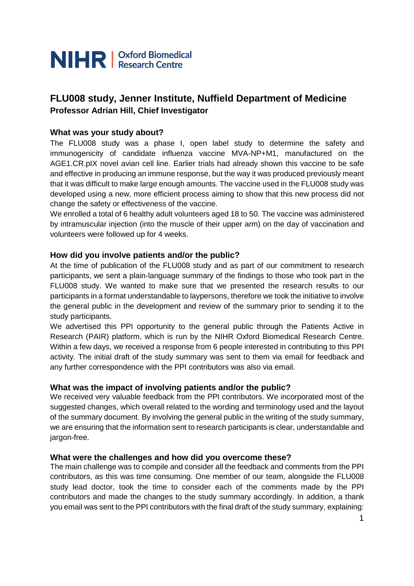

# **FLU008 study, Jenner Institute, Nuffield Department of Medicine Professor Adrian Hill, Chief Investigator**

# **What was your study about?**

The FLU008 study was a phase I, open label study to determine the safety and immunogenicity of candidate influenza vaccine MVA-NP+M1, manufactured on the AGE1.CR.pIX novel avian cell line. Earlier trials had already shown this vaccine to be safe and effective in producing an immune response, but the way it was produced previously meant that it was difficult to make large enough amounts. The vaccine used in the FLU008 study was developed using a new, more efficient process aiming to show that this new process did not change the safety or effectiveness of the vaccine.

We enrolled a total of 6 healthy adult volunteers aged 18 to 50. The vaccine was administered by intramuscular injection (into the muscle of their upper arm) on the day of vaccination and volunteers were followed up for 4 weeks.

### **How did you involve patients and/or the public?**

At the time of publication of the FLU008 study and as part of our commitment to research participants, we sent a plain-language summary of the findings to those who took part in the FLU008 study. We wanted to make sure that we presented the research results to our participants in a format understandable to laypersons, therefore we took the initiative to involve the general public in the development and review of the summary prior to sending it to the study participants.

We advertised this PPI opportunity to the general public through the Patients Active in Research (PAIR) platform, which is run by the NIHR Oxford Biomedical Research Centre. Within a few days, we received a response from 6 people interested in contributing to this PPI activity. The initial draft of the study summary was sent to them via email for feedback and any further correspondence with the PPI contributors was also via email.

#### **What was the impact of involving patients and/or the public?**

We received very valuable feedback from the PPI contributors. We incorporated most of the suggested changes, which overall related to the wording and terminology used and the layout of the summary document. By involving the general public in the writing of the study summary, we are ensuring that the information sent to research participants is clear, understandable and jargon-free.

#### **What were the challenges and how did you overcome these?**

The main challenge was to compile and consider all the feedback and comments from the PPI contributors, as this was time consuming. One member of our team, alongside the FLU008 study lead doctor, took the time to consider each of the comments made by the PPI contributors and made the changes to the study summary accordingly. In addition, a thank you email was sent to the PPI contributors with the final draft of the study summary, explaining: